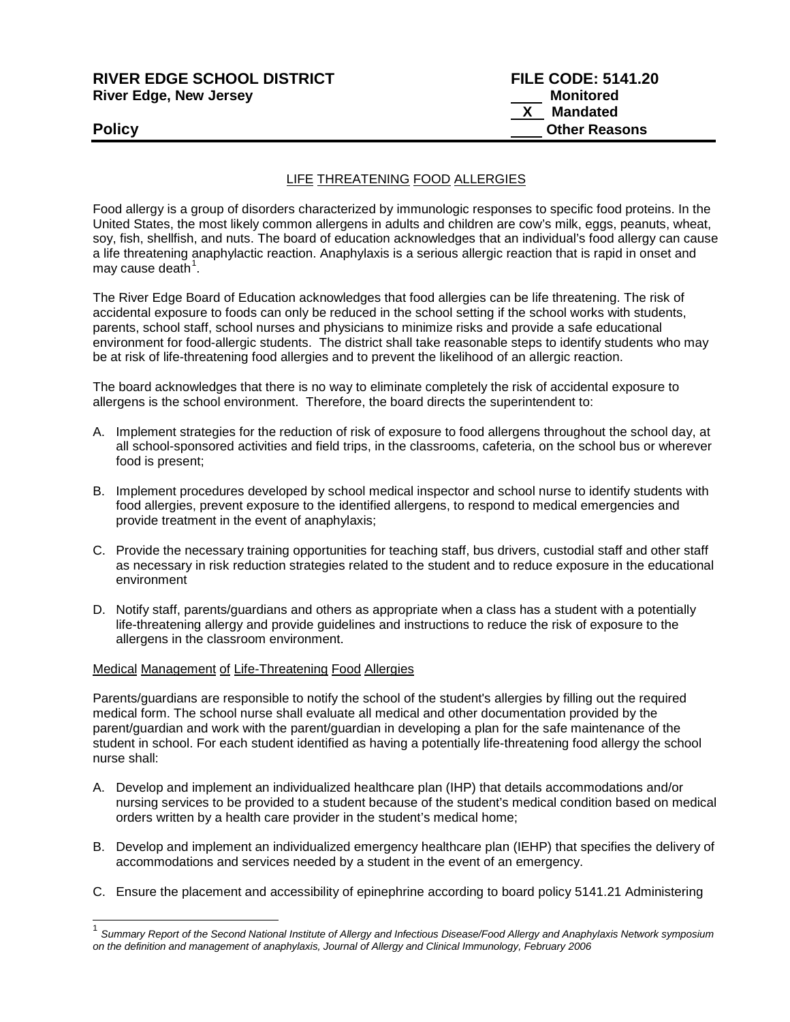# **RIVER EDGE SCHOOL DISTRICT FILE CODE: 5141.20 River Edge, New Jersey**

# LIFE THREATENING FOOD ALLERGIES

Food allergy is a group of disorders characterized by immunologic responses to specific food proteins. In the United States, the most likely common allergens in adults and children are cow's milk, eggs, peanuts, wheat, soy, fish, shellfish, and nuts. The board of education acknowledges that an individual's food allergy can cause a life threatening anaphylactic reaction. Anaphylaxis is a serious allergic reaction that is rapid in onset and may cause death $1$ .

The River Edge Board of Education acknowledges that food allergies can be life threatening. The risk of accidental exposure to foods can only be reduced in the school setting if the school works with students, parents, school staff, school nurses and physicians to minimize risks and provide a safe educational environment for food-allergic students. The district shall take reasonable steps to identify students who may be at risk of life-threatening food allergies and to prevent the likelihood of an allergic reaction.

The board acknowledges that there is no way to eliminate completely the risk of accidental exposure to allergens is the school environment. Therefore, the board directs the superintendent to:

- A. Implement strategies for the reduction of risk of exposure to food allergens throughout the school day, at all school-sponsored activities and field trips, in the classrooms, cafeteria, on the school bus or wherever food is present;
- B. Implement procedures developed by school medical inspector and school nurse to identify students with food allergies, prevent exposure to the identified allergens, to respond to medical emergencies and provide treatment in the event of anaphylaxis;
- C. Provide the necessary training opportunities for teaching staff, bus drivers, custodial staff and other staff as necessary in risk reduction strategies related to the student and to reduce exposure in the educational environment
- D. Notify staff, parents/guardians and others as appropriate when a class has a student with a potentially life-threatening allergy and provide guidelines and instructions to reduce the risk of exposure to the allergens in the classroom environment.

#### Medical Management of Life-Threatening Food Allergies

Parents/guardians are responsible to notify the school of the student's allergies by filling out the required medical form. The school nurse shall evaluate all medical and other documentation provided by the parent/guardian and work with the parent/guardian in developing a plan for the safe maintenance of the student in school. For each student identified as having a potentially life-threatening food allergy the school nurse shall:

- A. Develop and implement an individualized healthcare plan (IHP) that details accommodations and/or nursing services to be provided to a student because of the student's medical condition based on medical orders written by a health care provider in the student's medical home;
- B. Develop and implement an individualized emergency healthcare plan (IEHP) that specifies the delivery of accommodations and services needed by a student in the event of an emergency.
- C. Ensure the placement and accessibility of epinephrine according to board policy 5141.21 Administering

<span id="page-0-0"></span> <sup>1</sup> *Summary Report of the Second National Institute of Allergy and Infectious Disease/Food Allergy and Anaphylaxis Network symposium on the definition and management of anaphylaxis, Journal of Allergy and Clinical Immunology, February 2006*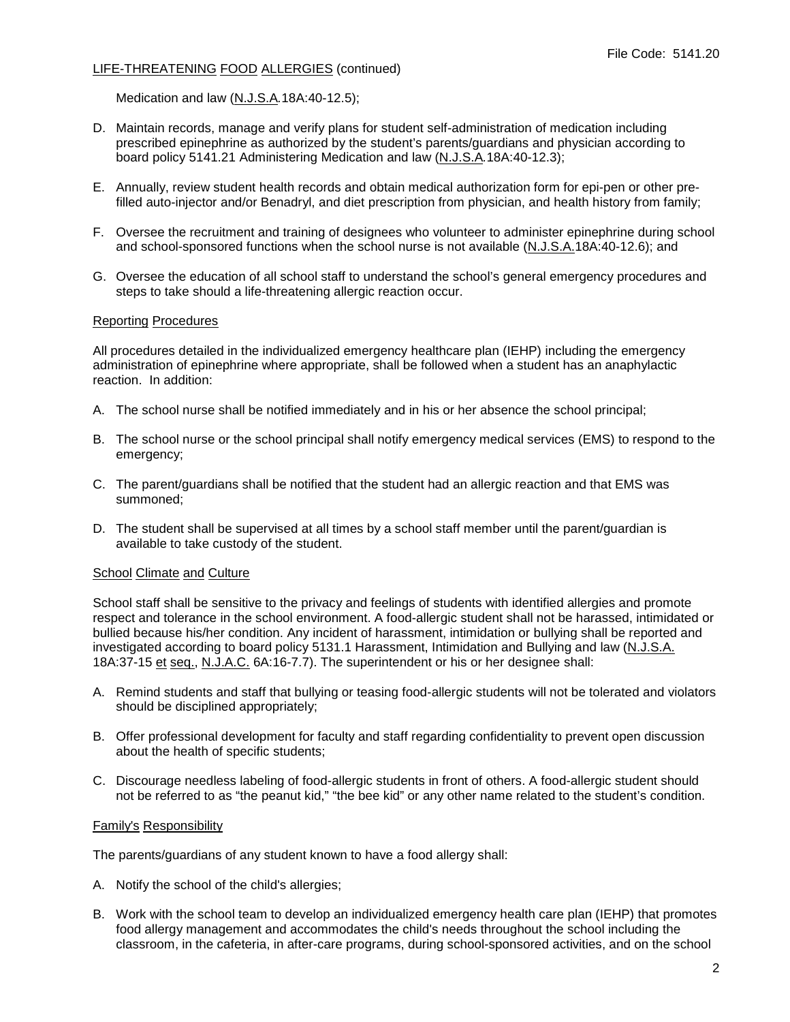Medication and law (N.J.S.A*.*18A:40-12.5);

- D. Maintain records, manage and verify plans for student self-administration of medication including prescribed epinephrine as authorized by the student's parents/guardians and physician according to board policy 5141.21 Administering Medication and law (N.J.S.A*.*18A:40-12.3);
- E. Annually, review student health records and obtain medical authorization form for epi-pen or other prefilled auto-injector and/or Benadryl, and diet prescription from physician, and health history from family;
- F. Oversee the recruitment and training of designees who volunteer to administer epinephrine during school and school-sponsored functions when the school nurse is not available (N.J.S.A.18A:40-12.6); and
- G. Oversee the education of all school staff to understand the school's general emergency procedures and steps to take should a life-threatening allergic reaction occur.

#### Reporting Procedures

All procedures detailed in the individualized emergency healthcare plan (IEHP) including the emergency administration of epinephrine where appropriate, shall be followed when a student has an anaphylactic reaction. In addition:

- A. The school nurse shall be notified immediately and in his or her absence the school principal;
- B. The school nurse or the school principal shall notify emergency medical services (EMS) to respond to the emergency;
- C. The parent/guardians shall be notified that the student had an allergic reaction and that EMS was summoned;
- D. The student shall be supervised at all times by a school staff member until the parent/guardian is available to take custody of the student.

### School Climate and Culture

School staff shall be sensitive to the privacy and feelings of students with identified allergies and promote respect and tolerance in the school environment. A food-allergic student shall not be harassed, intimidated or bullied because his/her condition. Any incident of harassment, intimidation or bullying shall be reported and investigated according to board policy 5131.1 Harassment, Intimidation and Bullying and law (N.J.S.A. 18A:37-15 et seq., N.J.A.C. 6A:16-7.7). The superintendent or his or her designee shall:

- A. Remind students and staff that bullying or teasing food-allergic students will not be tolerated and violators should be disciplined appropriately;
- B. Offer professional development for faculty and staff regarding confidentiality to prevent open discussion about the health of specific students;
- C. Discourage needless labeling of food-allergic students in front of others. A food-allergic student should not be referred to as "the peanut kid," "the bee kid" or any other name related to the student's condition.

#### Family's Responsibility

The parents/guardians of any student known to have a food allergy shall:

- A. Notify the school of the child's allergies;
- B. Work with the school team to develop an individualized emergency health care plan (IEHP) that promotes food allergy management and accommodates the child's needs throughout the school including the classroom, in the cafeteria, in after-care programs, during school-sponsored activities, and on the school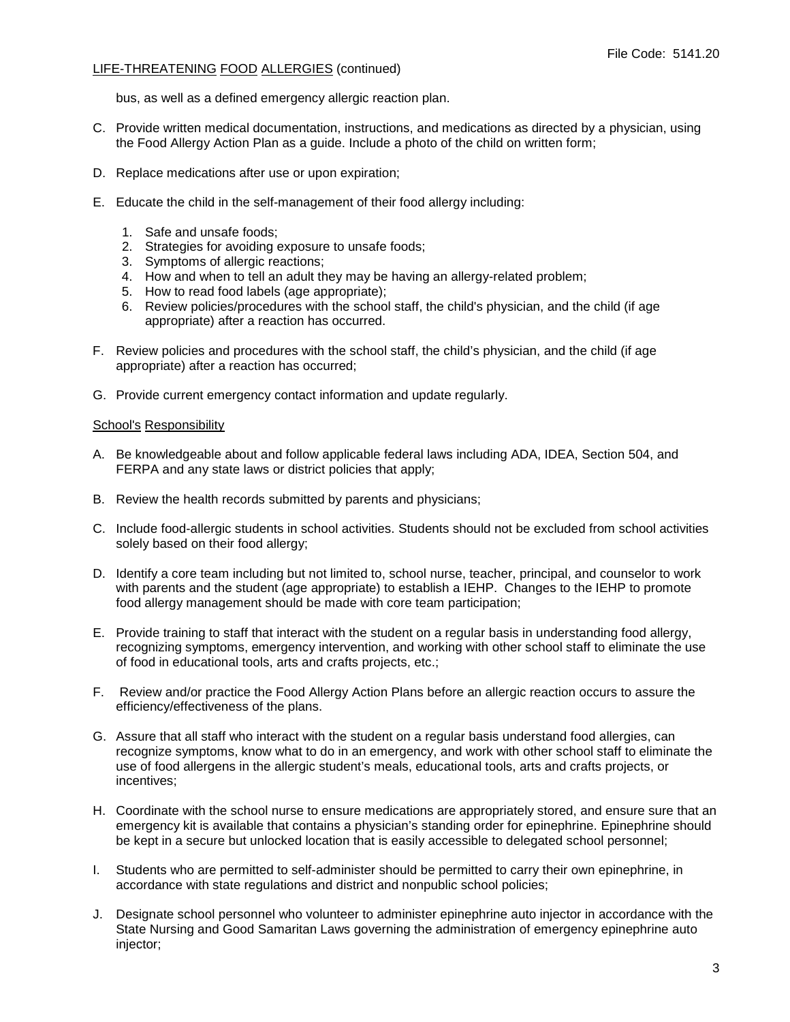bus, as well as a defined emergency allergic reaction plan.

- C. Provide written medical documentation, instructions, and medications as directed by a physician, using the Food Allergy Action Plan as a guide. Include a photo of the child on written form;
- D. Replace medications after use or upon expiration;
- E. Educate the child in the self-management of their food allergy including:
	- 1. Safe and unsafe foods;
	- 2. Strategies for avoiding exposure to unsafe foods;
	- 3. Symptoms of allergic reactions;
	- 4. How and when to tell an adult they may be having an allergy-related problem;
	- 5. How to read food labels (age appropriate);
	- 6. Review policies/procedures with the school staff, the child's physician, and the child (if age appropriate) after a reaction has occurred.
- F. Review policies and procedures with the school staff, the child's physician, and the child (if age appropriate) after a reaction has occurred;
- G. Provide current emergency contact information and update regularly.

### School's Responsibility

- A. Be knowledgeable about and follow applicable federal laws including ADA, IDEA, Section 504, and FERPA and any state laws or district policies that apply;
- B. Review the health records submitted by parents and physicians;
- C. Include food-allergic students in school activities. Students should not be excluded from school activities solely based on their food allergy;
- D. Identify a core team including but not limited to, school nurse, teacher, principal, and counselor to work with parents and the student (age appropriate) to establish a IEHP. Changes to the IEHP to promote food allergy management should be made with core team participation;
- E. Provide training to staff that interact with the student on a regular basis in understanding food allergy, recognizing symptoms, emergency intervention, and working with other school staff to eliminate the use of food in educational tools, arts and crafts projects, etc.;
- F. Review and/or practice the Food Allergy Action Plans before an allergic reaction occurs to assure the efficiency/effectiveness of the plans.
- G. Assure that all staff who interact with the student on a regular basis understand food allergies, can recognize symptoms, know what to do in an emergency, and work with other school staff to eliminate the use of food allergens in the allergic student's meals, educational tools, arts and crafts projects, or incentives;
- H. Coordinate with the school nurse to ensure medications are appropriately stored, and ensure sure that an emergency kit is available that contains a physician's standing order for epinephrine. Epinephrine should be kept in a secure but unlocked location that is easily accessible to delegated school personnel;
- I. Students who are permitted to self-administer should be permitted to carry their own epinephrine, in accordance with state regulations and district and nonpublic school policies;
- J. Designate school personnel who volunteer to administer epinephrine auto injector in accordance with the State Nursing and Good Samaritan Laws governing the administration of emergency epinephrine auto injector;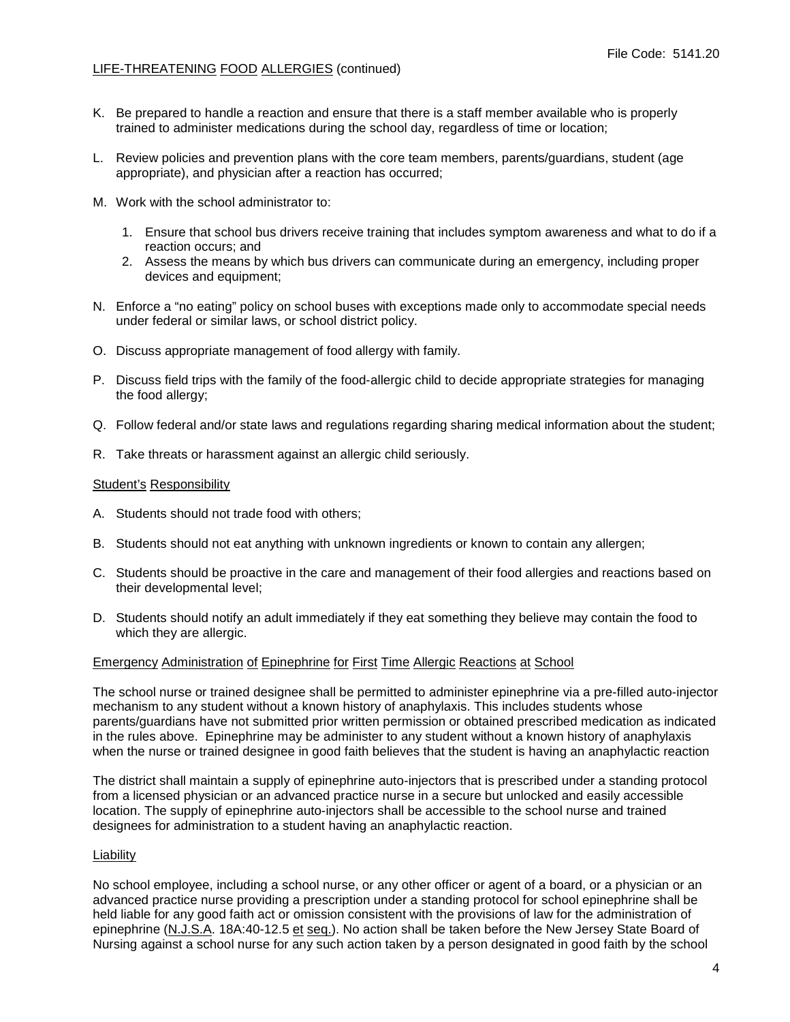- K. Be prepared to handle a reaction and ensure that there is a staff member available who is properly trained to administer medications during the school day, regardless of time or location;
- L. Review policies and prevention plans with the core team members, parents/guardians, student (age appropriate), and physician after a reaction has occurred;
- M. Work with the school administrator to:
	- 1. Ensure that school bus drivers receive training that includes symptom awareness and what to do if a reaction occurs; and
	- 2. Assess the means by which bus drivers can communicate during an emergency, including proper devices and equipment;
- N. Enforce a "no eating" policy on school buses with exceptions made only to accommodate special needs under federal or similar laws, or school district policy.
- O. Discuss appropriate management of food allergy with family.
- P. Discuss field trips with the family of the food-allergic child to decide appropriate strategies for managing the food allergy;
- Q. Follow federal and/or state laws and regulations regarding sharing medical information about the student;
- R. Take threats or harassment against an allergic child seriously.

#### Student's Responsibility

- A. Students should not trade food with others;
- B. Students should not eat anything with unknown ingredients or known to contain any allergen;
- C. Students should be proactive in the care and management of their food allergies and reactions based on their developmental level;
- D. Students should notify an adult immediately if they eat something they believe may contain the food to which they are allergic.

#### Emergency Administration of Epinephrine for First Time Allergic Reactions at School

The school nurse or trained designee shall be permitted to administer epinephrine via a pre-filled auto-injector mechanism to any student without a known history of anaphylaxis. This includes students whose parents/guardians have not submitted prior written permission or obtained prescribed medication as indicated in the rules above. Epinephrine may be administer to any student without a known history of anaphylaxis when the nurse or trained designee in good faith believes that the student is having an anaphylactic reaction

The district shall maintain a supply of epinephrine auto-injectors that is prescribed under a standing protocol from a licensed physician or an advanced practice nurse in a secure but unlocked and easily accessible location. The supply of epinephrine auto-injectors shall be accessible to the school nurse and trained designees for administration to a student having an anaphylactic reaction.

#### Liability

No school employee, including a school nurse, or any other officer or agent of a board, or a physician or an advanced practice nurse providing a prescription under a standing protocol for school epinephrine shall be held liable for any good faith act or omission consistent with the provisions of law for the administration of epinephrine (N.J.S.A. 18A:40-12.5 et seq.). No action shall be taken before the New Jersey State Board of Nursing against a school nurse for any such action taken by a person designated in good faith by the school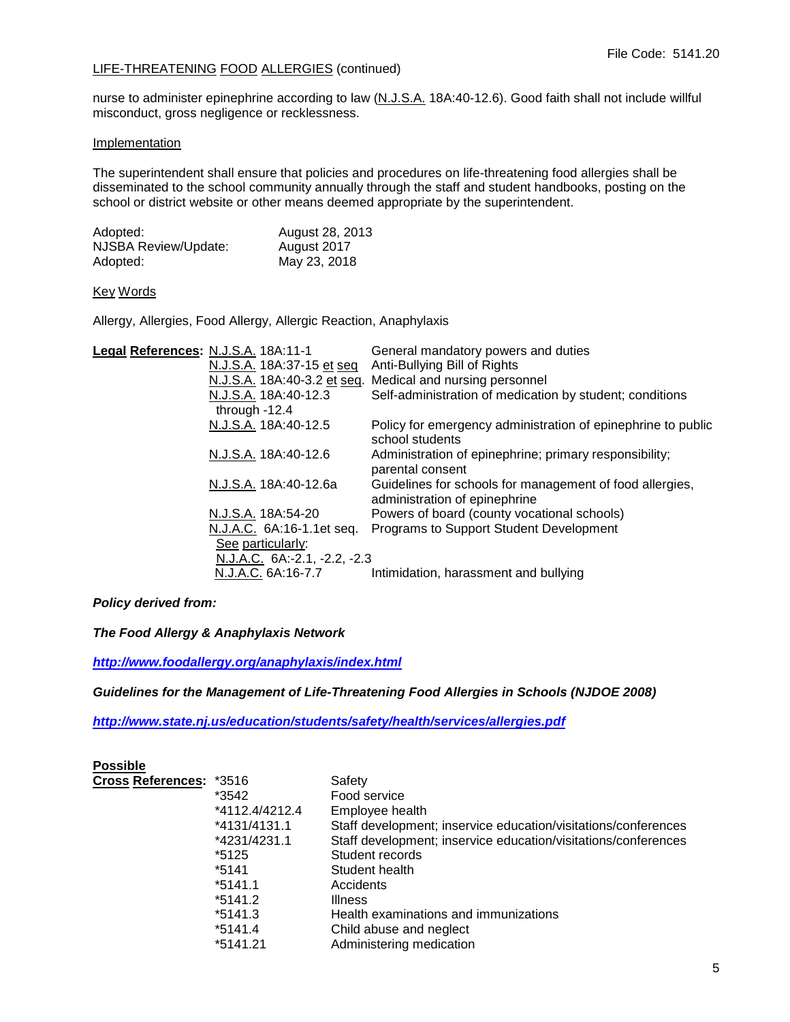nurse to administer epinephrine according to law (N.J.S.A. 18A:40-12.6). Good faith shall not include willful misconduct, gross negligence or recklessness.

### **Implementation**

The superintendent shall ensure that policies and procedures on life-threatening food allergies shall be disseminated to the school community annually through the staff and student handbooks, posting on the school or district website or other means deemed appropriate by the superintendent.

| Adopted:             | August 28, 2013 |
|----------------------|-----------------|
| NJSBA Review/Update: | August 2017     |
| Adopted:             | May 23, 2018    |

# Key Words

Allergy, Allergies, Food Allergy, Allergic Reaction, Anaphylaxis

| Legal References: N.J.S.A. 18A:11-1 |                              | General mandatory powers and duties                                                       |
|-------------------------------------|------------------------------|-------------------------------------------------------------------------------------------|
|                                     | N.J.S.A. 18A:37-15 et seq    | Anti-Bullying Bill of Rights                                                              |
|                                     | N.J.S.A. 18A:40-3.2 et seq.  | Medical and nursing personnel                                                             |
|                                     | N.J.S.A. 18A:40-12.3         | Self-administration of medication by student; conditions                                  |
|                                     | through $-12.4$              |                                                                                           |
|                                     | N.J.S.A. 18A:40-12.5         | Policy for emergency administration of epinephrine to public<br>school students           |
|                                     | N.J.S.A. 18A:40-12.6         | Administration of epinephrine; primary responsibility;<br>parental consent                |
|                                     | N.J.S.A. 18A:40-12.6a        | Guidelines for schools for management of food allergies,<br>administration of epinephrine |
|                                     | N.J.S.A. 18A:54-20           | Powers of board (county vocational schools)                                               |
|                                     | N.J.A.C. 6A:16-1.1et seq.    | Programs to Support Student Development                                                   |
|                                     | See particularly:            |                                                                                           |
|                                     | N.J.A.C. 6A:-2.1, -2.2, -2.3 |                                                                                           |
|                                     | N.J.A.C. 6A:16-7.7           | Intimidation, harassment and bullying                                                     |

*Policy derived from:*

*The Food Allergy & Anaphylaxis Network*

*<http://www.foodallergy.org/anaphylaxis/index.html>*

*Guidelines for the Management of Life-Threatening Food Allergies in Schools (NJDOE 2008)*

*<http://www.state.nj.us/education/students/safety/health/services/allergies.pdf>*

| <b>Possible</b>         |                |                                                                |
|-------------------------|----------------|----------------------------------------------------------------|
| Cross References: *3516 |                | Safety                                                         |
|                         | *3542          | Food service                                                   |
|                         | *4112.4/4212.4 | Employee health                                                |
|                         | *4131/4131.1   | Staff development; inservice education/visitations/conferences |
|                         | *4231/4231.1   | Staff development; inservice education/visitations/conferences |
|                         | *5125          | Student records                                                |
|                         | $*5141$        | Student health                                                 |
|                         | $*5141.1$      | Accidents                                                      |
|                         | *5141.2        | <b>Illness</b>                                                 |
|                         | *5141.3        | Health examinations and immunizations                          |
|                         | *5141.4        | Child abuse and neglect                                        |
|                         | *5141.21       | Administering medication                                       |